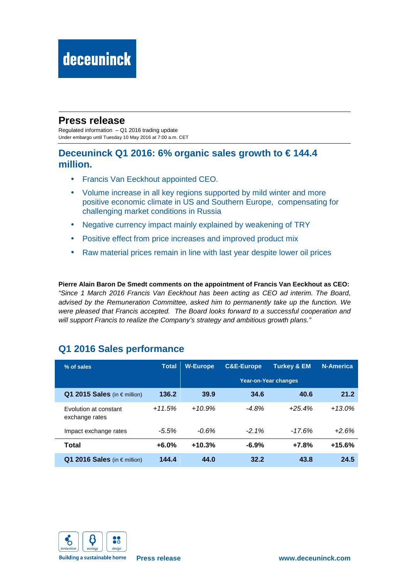# deceuninck

## **Press release**

Regulated information – Q1 2016 trading update Under embargo until Tuesday 10 May 2016 at 7:00 a.m. CET

## **Deceuninck Q1 2016: 6% organic sales growth to € 144.4 million.**

- Francis Van Eeckhout appointed CEO.
- Volume increase in all key regions supported by mild winter and more positive economic climate in US and Southern Europe, compensating for challenging market conditions in Russia
- Negative currency impact mainly explained by weakening of TRY
- Positive effect from price increases and improved product mix
- Raw material prices remain in line with last year despite lower oil prices

**Pierre Alain Baron De Smedt comments on the appointment of Francis Van Eeckhout as CEO:**  "Since 1 March 2016 Francis Van Eeckhout has been acting as CEO ad interim. The Board, advised by the Remuneration Committee, asked him to permanently take up the function. We were pleased that Francis accepted. The Board looks forward to a successful cooperation and will support Francis to realize the Company's strategy and ambitious growth plans."

# **Q1 2016 Sales performance**

| % of sales                               | <b>Total</b> | <b>W-Europe</b> | <b>C&amp;E-Europe</b> | <b>Turkey &amp; EM</b>      | <b>N-America</b> |
|------------------------------------------|--------------|-----------------|-----------------------|-----------------------------|------------------|
|                                          |              |                 |                       | <b>Year-on-Year changes</b> |                  |
| Q1 2015 Sales (in $\in$ million)         | 136.2        | 39.9            | 34.6                  | 40.6                        | 21.2             |
| Evolution at constant<br>exchange rates  | $+11.5%$     | $+10.9%$        | $-4.8\%$              | $+25.4%$                    | $+13.0%$         |
| Impact exchange rates                    | $-5.5%$      | $-0.6%$         | $-2.1\%$              | $-17.6%$                    | $+2.6%$          |
| Total                                    | $+6.0%$      | $+10.3%$        | $-6.9%$               | $+7.8%$                     | $+15.6%$         |
| 2016 Sales (in $\epsilon$ million)<br>Q1 | 144.4        | 44.0            | 32.2                  | 43.8                        | 24.5             |



**Building a sustainable home**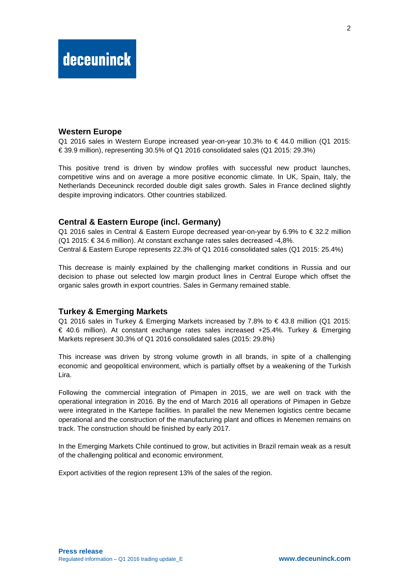## **Western Europe**

Q1 2016 sales in Western Europe increased year-on-year 10.3% to € 44.0 million (Q1 2015: € 39.9 million), representing 30.5% of Q1 2016 consolidated sales (Q1 2015: 29.3%)

This positive trend is driven by window profiles with successful new product launches, competitive wins and on average a more positive economic climate. In UK, Spain, Italy, the Netherlands Deceuninck recorded double digit sales growth. Sales in France declined slightly despite improving indicators. Other countries stabilized.

## **Central & Eastern Europe (incl. Germany)**

Q1 2016 sales in Central & Eastern Europe decreased year-on-year by 6.9% to  $\epsilon$  32.2 million (Q1 2015: € 34.6 million). At constant exchange rates sales decreased -4,8%. Central & Eastern Europe represents 22.3% of Q1 2016 consolidated sales (Q1 2015: 25.4%)

This decrease is mainly explained by the challenging market conditions in Russia and our decision to phase out selected low margin product lines in Central Europe which offset the organic sales growth in export countries. Sales in Germany remained stable.

#### **Turkey & Emerging Markets**

Q1 2016 sales in Turkey & Emerging Markets increased by  $7.8\%$  to € 43.8 million (Q1 2015: € 40.6 million). At constant exchange rates sales increased +25.4%. Turkey & Emerging Markets represent 30.3% of Q1 2016 consolidated sales (2015: 29.8%)

This increase was driven by strong volume growth in all brands, in spite of a challenging economic and geopolitical environment, which is partially offset by a weakening of the Turkish Lira.

Following the commercial integration of Pimapen in 2015, we are well on track with the operational integration in 2016. By the end of March 2016 all operations of Pimapen in Gebze were integrated in the Kartepe facilities. In parallel the new Menemen logistics centre became operational and the construction of the manufacturing plant and offices in Menemen remains on track. The construction should be finished by early 2017.

In the Emerging Markets Chile continued to grow, but activities in Brazil remain weak as a result of the challenging political and economic environment.

Export activities of the region represent 13% of the sales of the region.